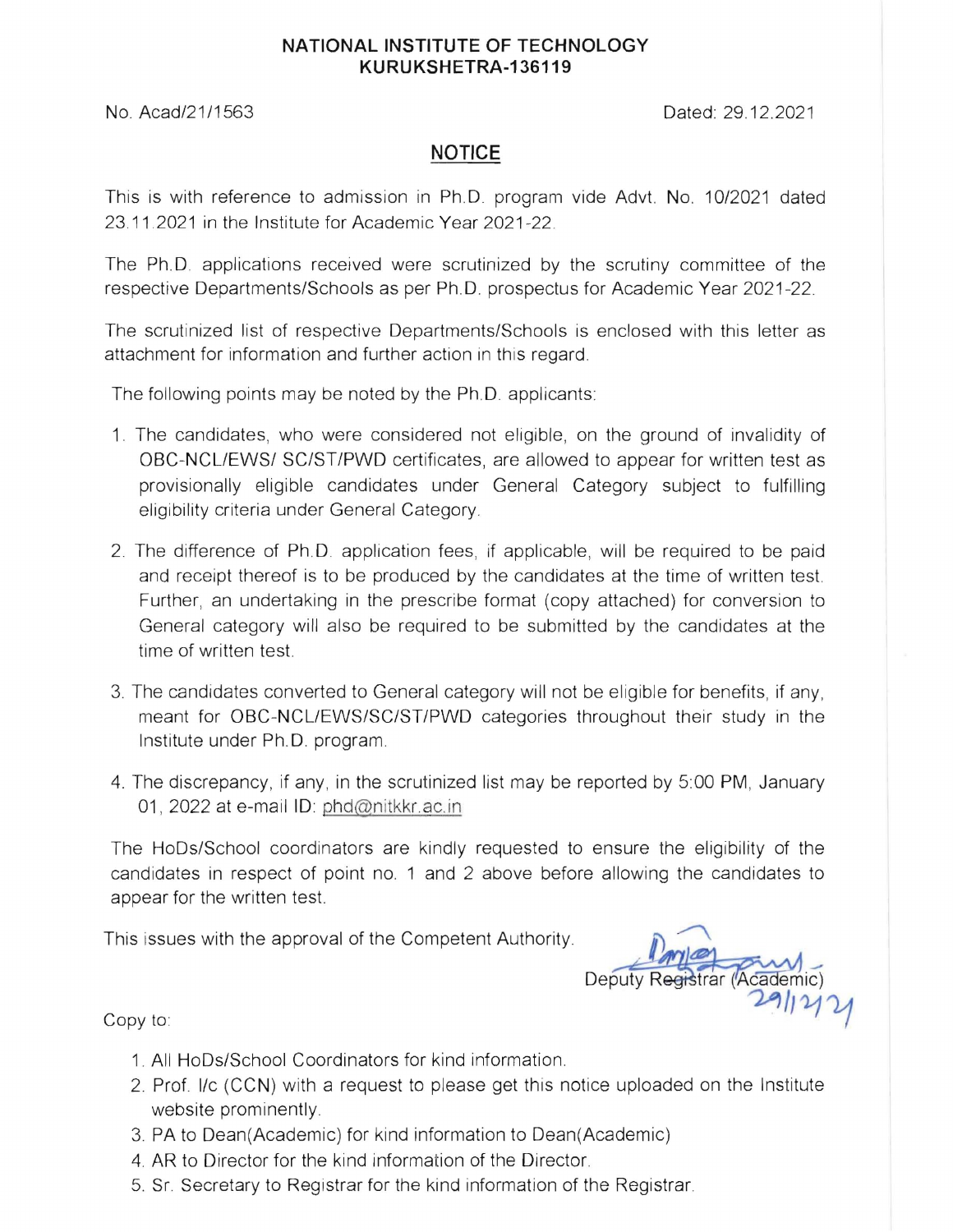## **NATIONAL INSTITUTE OF TECHNOLOGY KURUKSHETRA-136119**

No. Acad/21/1563 Dated: 29.12.2021

## **NOTICE**

This is with reference to admission in Ph.D program vide Advt. No, 10/2021 dated 23.11.2021 in the Institute for Academic Year 2021-22.

The Ph.D. applications received were scrutinized by the scrutiny committee of the respective Departments/Schools as per Ph.D. prospectus for Academic Year 2021-22.

The scrutinized list of respective Departments/Schools is enclosed with this letter as attachment for information and further action in this regard

The following points may be noted by the Ph.D. applicants:

- 1. The candidates, who were considered not eligible, on the ground of invalidity of OBC-NCLIEWS/ SC/ST/PWD certificates, are allowed to appear for written test as provisionally eligible candidates under General Category subject to fulfilling eligibility criteria under General Category.
- 2. The difference of Ph.D. application fees, if applicable, will be required to be paid and receipt thereof is to be produced by the candidates at the time of written test. Further, an undertaking in the prescribe format (copy attached) for conversion to General category will also be required to be submitted by the candidates at the time of written test.
- 3. The candidates converted to General category will not be eligible for benefits, if any, meant for OBC-NCLIEWS/SC/ST/PWD categories throughout their study in the Institute under Ph. D. program
- 4. The discrepancy, if any, in the scrutinized list may be reported by 5:00 PM, January 01, 2022 at e-mail ID: phd@nitkkr.ac.in

The HoDs/School coordinators are kindly requested to ensure the eligibility of the candidates in respect of point no. 1 and 2 above before allowing the candidates to appear for the written test.

This issues with the approval of the Competent Authority.

Deputy Registrar (Academic)

Copy to:

- 1. All HoDs/School Coordinators for kind information.
- 2. Prof. I/c (CCN) with a request to please get this notice uploaded on the Institute website prominently.
- 3. PA to Dean(Academic) for kind information to Dean(Academic)
- 4. AR to Director for the kind information of the Director.
- 5. Sr. Secretary to Registrar for the kind information of the Registrar.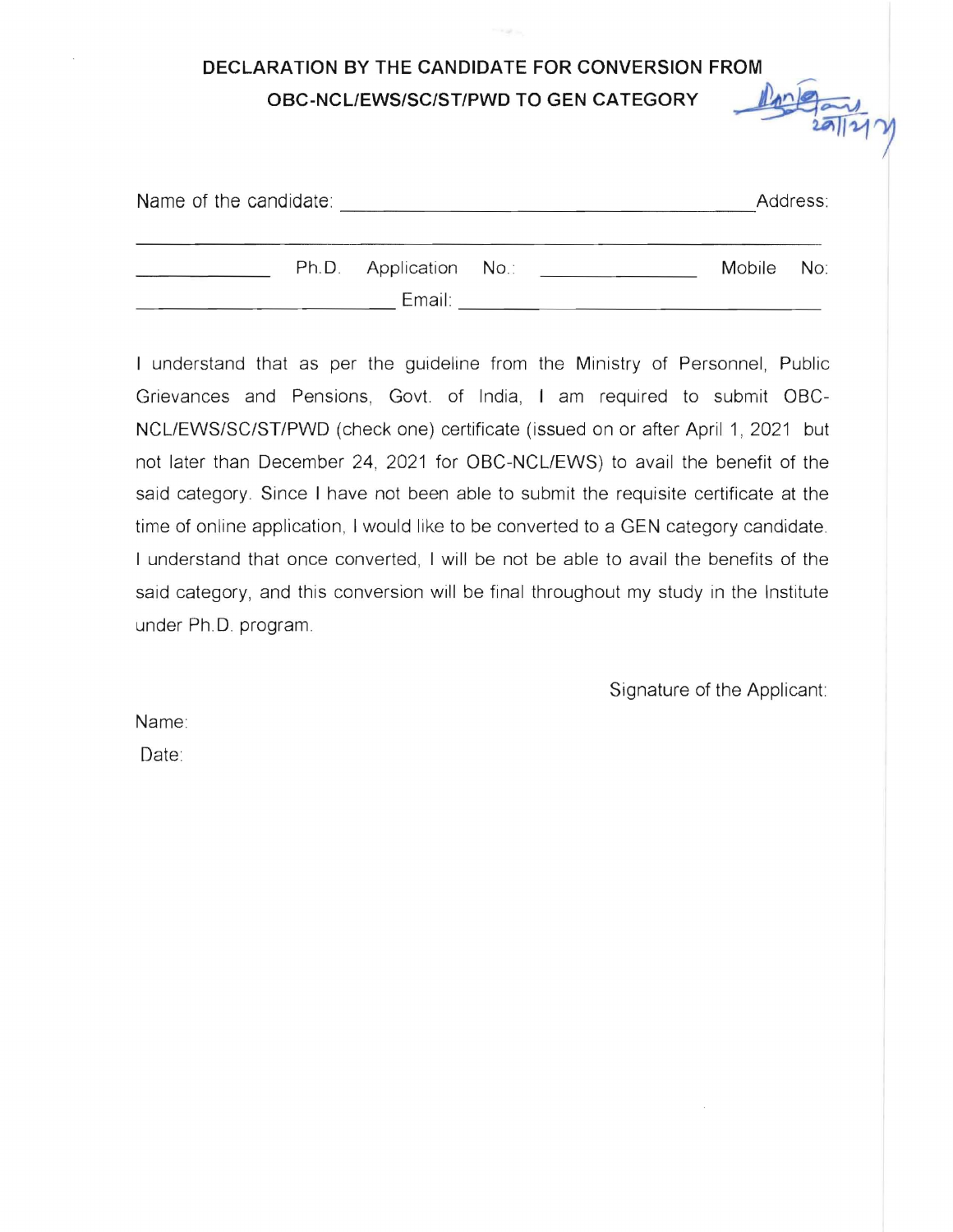## **DECLARATION BY THE CANDIDATE FOR CONVERSION FROM OBC-NCLIEWS/SC/ST/PWD TO GEN CATEGORY** \_\_~~

| $\sqrt{2}$ |
|------------|
|------------|

| Name of the candidate: |                                  |  |            | Address: |
|------------------------|----------------------------------|--|------------|----------|
|                        | Ph.D. Application No.:<br>Email: |  | Mobile No: |          |

I understand that as per the guideline from the Ministry of Personnel, Public Grievances and Pensions, Govt. of India, I am required to submit OBC-NCLIEWS/SC/ST/PWD (check one) certificate (issued on or after April 1, 2021 but not later than December 24, 2021 for OBC-NCLIEWS) to avail the benefit of the said category. Since I have not been able to submit the requisite certificate at the time of online application, I would like to be converted to a GEN category candidate. I understand that once converted, I will be not be able to avail the benefits of the said category, and this conversion will be final throughout my study in the Institute under Ph. D. program.

Signature of the Applicant

Name:

Date: